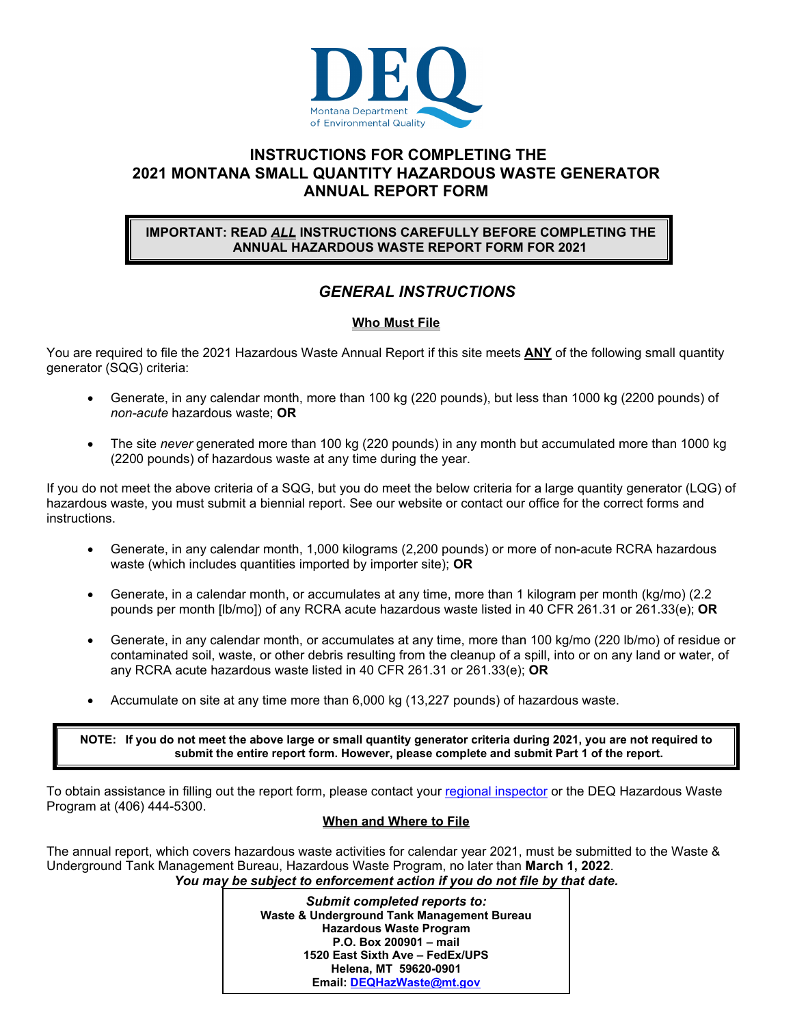

# **INSTRUCTIONS FOR COMPLETING THE 2021 MONTANA SMALL QUANTITY HAZARDOUS WASTE GENERATOR ANNUAL REPORT FORM**

## **IMPORTANT: READ** *ALL* **INSTRUCTIONS CAREFULLY BEFORE COMPLETING THE ANNUAL HAZARDOUS WASTE REPORT FORM FOR 2021**

# *GENERAL INSTRUCTIONS*

# **Who Must File**

You are required to file the 2021 Hazardous Waste Annual Report if this site meets **ANY** of the following small quantity generator (SQG) criteria:

- Generate, in any calendar month, more than 100 kg (220 pounds), but less than 1000 kg (2200 pounds) of *non-acute* hazardous waste; **OR**
- The site *never* generated more than 100 kg (220 pounds) in any month but accumulated more than 1000 kg (2200 pounds) of hazardous waste at any time during the year.

If you do not meet the above criteria of a SQG, but you do meet the below criteria for a large quantity generator (LQG) of hazardous waste, you must submit a biennial report. See our website or contact our office for the correct forms and instructions.

- Generate, in any calendar month, 1,000 kilograms (2,200 pounds) or more of non-acute RCRA hazardous waste (which includes quantities imported by importer site); **OR**
- Generate, in a calendar month, or accumulates at any time, more than 1 kilogram per month (kg/mo) (2.2 pounds per month [lb/mo]) of any RCRA acute hazardous waste listed in 40 CFR 261.31 or 261.33(e); **OR**
- Generate, in any calendar month, or accumulates at any time, more than 100 kg/mo (220 lb/mo) of residue or contaminated soil, waste, or other debris resulting from the cleanup of a spill, into or on any land or water, of any RCRA acute hazardous waste listed in 40 CFR 261.31 or 261.33(e); **OR**
- Accumulate on site at any time more than 6,000 kg (13,227 pounds) of hazardous waste.

**NOTE: If you do not meet the above large or small quantity generator criteria during 2021, you are not required to submit the entire report form. However, please complete and submit Part 1 of the report.**

To obtain assistance in filling out the report form, please contact your regional inspector or the DEQ Hazardous Waste Program at (406) 444-5300.

## **When and Where to File**

The annual report, which covers hazardous waste activities for calendar year 2021, must be submitted to the Waste & Underground Tank Management Bureau, Hazardous Waste Program, no later than **March 1, 2022**. *You may be subject to enforcement action if you do not file by that date.* 

> 1 **Email: DEQHazWaste@mt.gov***Submit completed reports to:*  **Waste & Underground Tank Management Bureau Hazardous Waste Program P.O. Box 200901 – mail 1520 East Sixth Ave – FedEx/UPS Helena, MT 59620-0901**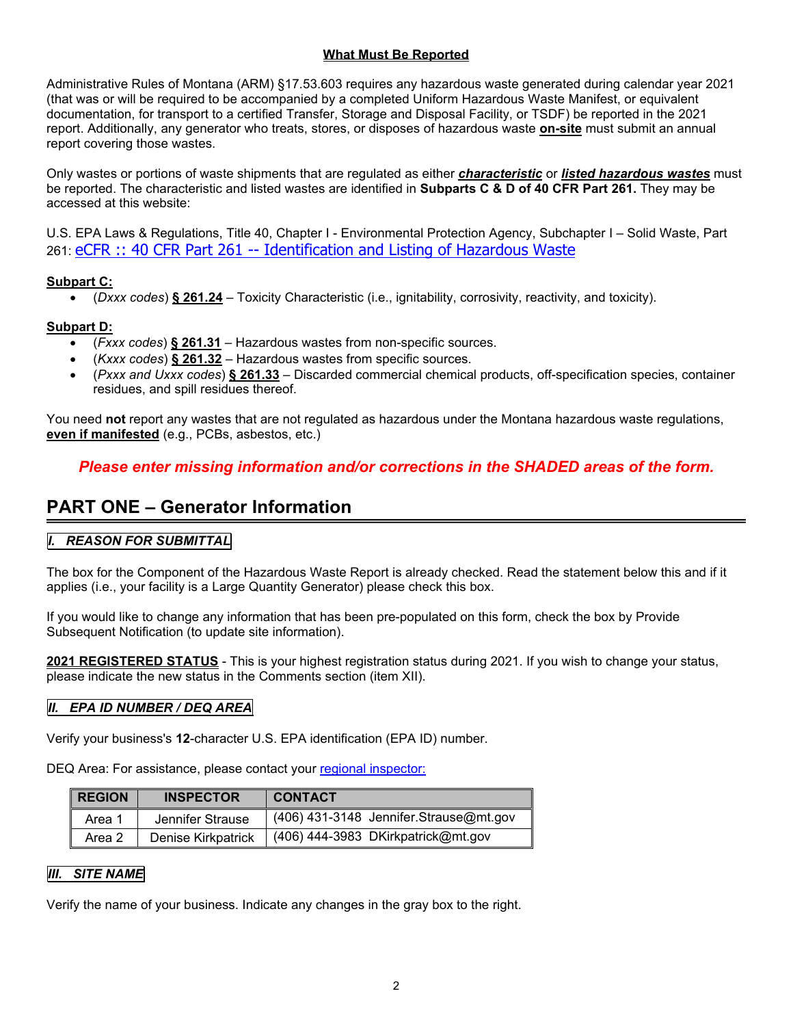## **What Must Be Reported**

Administrative Rules of Montana (ARM) §17.53.603 requires any hazardous waste generated during calendar year 2021 (that was or will be required to be accompanied by a completed Uniform Hazardous Waste Manifest, or equivalent documentation, for transport to a certified Transfer, Storage and Disposal Facility, or TSDF) be reported in the 2021 report. Additionally, any generator who treats, stores, or disposes of hazardous waste **on-site** must submit an annual report covering those wastes.

Only wastes or portions of waste shipments that are regulated as either *characteristic* or *listed hazardous wastes* must be reported. The characteristic and listed wastes are identified in **Subparts C & D of 40 CFR Part 261.** They may be accessed at this website:

U.S. EPA Laws & Regulations, Title 40, Chapter I - Environmental Protection Agency, Subchapter I – Solid Waste, Part 261: eCFR :: 40 CFR Part 261 -- Identification and Listing of Hazardous Waste

# **Subpart C:**

(*Dxxx codes*) **§ 261.24** – Toxicity Characteristic (i.e., ignitability, corrosivity, reactivity, and toxicity).

# **Subpart D:**

- (*Fxxx codes*) **§ 261.31** Hazardous wastes from non-specific sources.
- (*Kxxx codes*) **§ 261.32**  Hazardous wastes from specific sources.
- (*Pxxx and Uxxx codes*) **§ 261.33**  Discarded commercial chemical products, off-specification species, container residues, and spill residues thereof.

You need **not** report any wastes that are not regulated as hazardous under the Montana hazardous waste regulations, **even if manifested** (e.g., PCBs, asbestos, etc.)

# *Please enter missing information and/or corrections in the SHADED areas of the form.*

# **PART ONE – Generator Information**

# *I. REASON FOR SUBMITTAL*

The box for the Component of the Hazardous Waste Report is already checked. Read the statement below this and if it applies (i.e., your facility is a Large Quantity Generator) please check this box.

If you would like to change any information that has been pre-populated on this form, check the box by Provide Subsequent Notification (to update site information).

**2021 REGISTERED STATUS** - This is your highest registration status during 2021. If you wish to change your status, please indicate the new status in the Comments section (item XII).

## *II. EPA ID NUMBER / DEQ AREA*

Verify your business's **12**-character U.S. EPA identification (EPA ID) number.

DEQ Area: For assistance, please contact your regional inspector:

| <b>REGION</b> | <b>INSPECTOR</b>   | <b>CONTACT</b>                         |
|---------------|--------------------|----------------------------------------|
| Area 1        | Jennifer Strause   | (406) 431-3148 Jennifer Strause@mt.gov |
| Area 2        | Denise Kirkpatrick | $(406)$ 444-3983 DKirkpatrick@mt.gov   |

# **III.** SITE NAME

Verify the name of your business. Indicate any changes in the gray box to the right.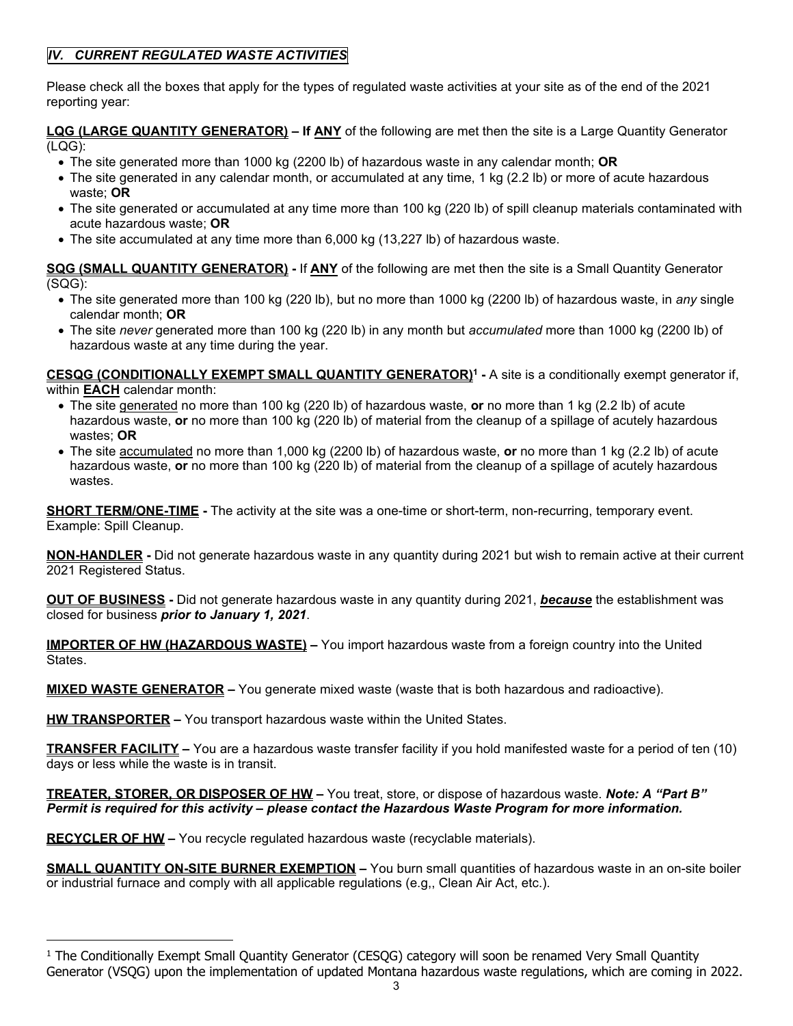# *IV. CURRENT REGULATED WASTE ACTIVITIES*

Please check all the boxes that apply for the types of regulated waste activities at your site as of the end of the 2021 reporting year:

**LQG (LARGE QUANTITY GENERATOR) – If ANY** of the following are met then the site is a Large Quantity Generator (LQG):

- The site generated more than 1000 kg (2200 lb) of hazardous waste in any calendar month; **OR**
- The site generated in any calendar month, or accumulated at any time, 1 kg (2.2 lb) or more of acute hazardous waste; **OR**
- The site generated or accumulated at any time more than 100 kg (220 lb) of spill cleanup materials contaminated with acute hazardous waste; **OR**
- The site accumulated at any time more than 6,000 kg (13,227 lb) of hazardous waste.

**SQG (SMALL QUANTITY GENERATOR) -** If **ANY** of the following are met then the site is a Small Quantity Generator (SQG):

- The site generated more than 100 kg (220 lb), but no more than 1000 kg (2200 lb) of hazardous waste, in *any* single calendar month; **OR**
- The site *never* generated more than 100 kg (220 lb) in any month but *accumulated* more than 1000 kg (2200 lb) of hazardous waste at any time during the year.

CESQG (CONDITIONALLY EXEMPT SMALL QUANTITY GENERATOR)<sup>1</sup> - A site is a conditionally exempt generator if, within **EACH** calendar month:

- The site generated no more than 100 kg (220 lb) of hazardous waste, **or** no more than 1 kg (2.2 lb) of acute hazardous waste, **or** no more than 100 kg (220 lb) of material from the cleanup of a spillage of acutely hazardous wastes; **OR**
- The site accumulated no more than 1,000 kg (2200 lb) of hazardous waste, **or** no more than 1 kg (2.2 lb) of acute hazardous waste, **or** no more than 100 kg (220 lb) of material from the cleanup of a spillage of acutely hazardous wastes.

**SHORT TERM/ONE-TIME** - The activity at the site was a one-time or short-term, non-recurring, temporary event. Example: Spill Cleanup.

**NON-HANDLER -** Did not generate hazardous waste in any quantity during 2021 but wish to remain active at their current 2021 Registered Status.

**OUT OF BUSINESS -** Did not generate hazardous waste in any quantity during 2021, *because* the establishment was closed for business *prior to January 1, 2021*.

**IMPORTER OF HW (HAZARDOUS WASTE) –** You import hazardous waste from a foreign country into the United States.

**MIXED WASTE GENERATOR –** You generate mixed waste (waste that is both hazardous and radioactive).

**HW TRANSPORTER –** You transport hazardous waste within the United States.

**TRANSFER FACILITY –** You are a hazardous waste transfer facility if you hold manifested waste for a period of ten (10) days or less while the waste is in transit.

**TREATER, STORER, OR DISPOSER OF HW –** You treat, store, or dispose of hazardous waste. *Note: A "Part B" Permit is required for this activity – please contact the Hazardous Waste Program for more information.*

**RECYCLER OF HW –** You recycle regulated hazardous waste (recyclable materials).

**SMALL QUANTITY ON-SITE BURNER EXEMPTION –** You burn small quantities of hazardous waste in an on-site boiler or industrial furnace and comply with all applicable regulations (e.g,, Clean Air Act, etc.).

<sup>&</sup>lt;sup>1</sup> The Conditionally Exempt Small Quantity Generator (CESQG) category will soon be renamed Very Small Quantity Generator (VSQG) upon the implementation of updated Montana hazardous waste regulations, which are coming in 2022.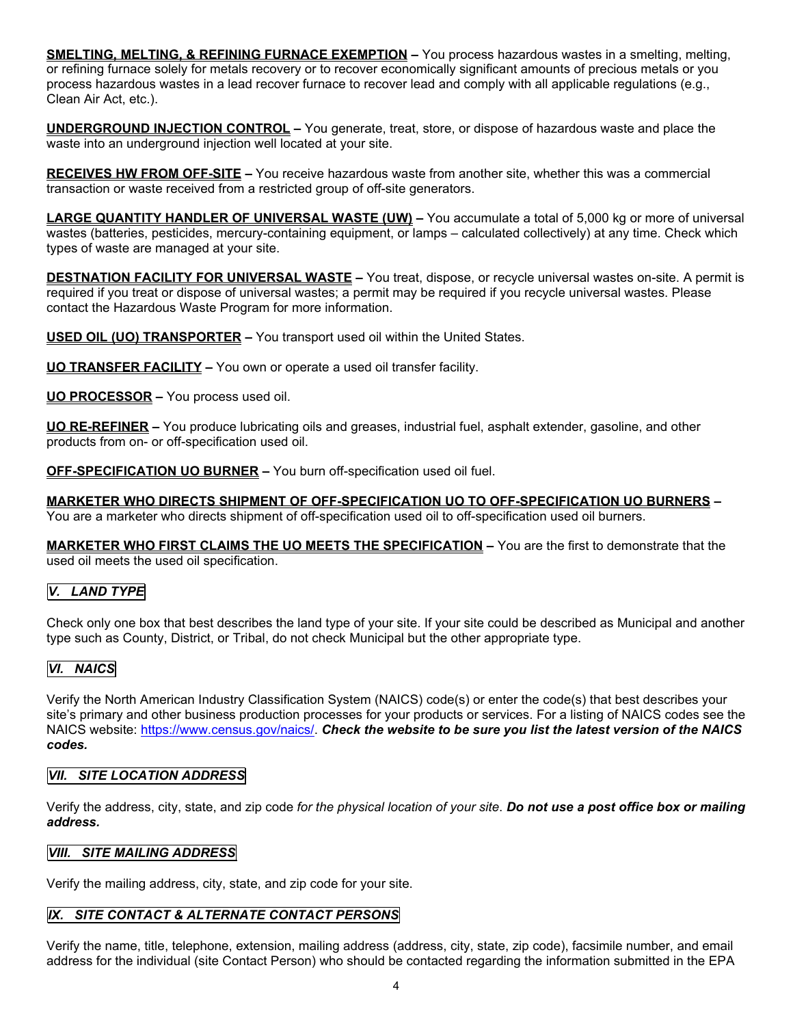**SMELTING, MELTING, & REFINING FURNACE EXEMPTION –** You process hazardous wastes in a smelting, melting, or refining furnace solely for metals recovery or to recover economically significant amounts of precious metals or you process hazardous wastes in a lead recover furnace to recover lead and comply with all applicable regulations (e.g., Clean Air Act, etc.).

**UNDERGROUND INJECTION CONTROL –** You generate, treat, store, or dispose of hazardous waste and place the waste into an underground injection well located at your site.

**RECEIVES HW FROM OFF-SITE –** You receive hazardous waste from another site, whether this was a commercial transaction or waste received from a restricted group of off-site generators.

**LARGE QUANTITY HANDLER OF UNIVERSAL WASTE (UW) –** You accumulate a total of 5,000 kg or more of universal wastes (batteries, pesticides, mercury-containing equipment, or lamps – calculated collectively) at any time. Check which types of waste are managed at your site.

**DESTNATION FACILITY FOR UNIVERSAL WASTE –** You treat, dispose, or recycle universal wastes on-site. A permit is required if you treat or dispose of universal wastes; a permit may be required if you recycle universal wastes. Please contact the Hazardous Waste Program for more information.

**USED OIL (UO) TRANSPORTER –** You transport used oil within the United States.

**UO TRANSFER FACILITY –** You own or operate a used oil transfer facility.

**UO PROCESSOR –** You process used oil.

**UO RE-REFINER –** You produce lubricating oils and greases, industrial fuel, asphalt extender, gasoline, and other products from on- or off-specification used oil.

**OFF-SPECIFICATION UO BURNER –** You burn off-specification used oil fuel.

**MARKETER WHO DIRECTS SHIPMENT OF OFF-SPECIFICATION UO TO OFF-SPECIFICATION UO BURNERS –**  You are a marketer who directs shipment of off-specification used oil to off-specification used oil burners.

**MARKETER WHO FIRST CLAIMS THE UO MEETS THE SPECIFICATION –** You are the first to demonstrate that the used oil meets the used oil specification.

# *V. LAND TYPE*

Check only one box that best describes the land type of your site. If your site could be described as Municipal and another type such as County, District, or Tribal, do not check Municipal but the other appropriate type.

## *VI. NAICS*

Verify the North American Industry Classification System (NAICS) code(s) or enter the code(s) that best describes your site's primary and other business production processes for your products or services. For a listing of NAICS codes see the NAICS website: https://www.census.gov/naics/. *Check the website to be sure you list the latest version of the NAICS codes.*

#### *VII. SITE LOCATION ADDRESS*

Verify the address, city, state, and zip code *for the physical location of your site*. *Do not use a post office box or mailing address.* 

#### *VIII. SITE MAILING ADDRESS*

Verify the mailing address, city, state, and zip code for your site.

## *IX. SITE CONTACT & ALTERNATE CONTACT PERSONS*

Verify the name, title, telephone, extension, mailing address (address, city, state, zip code), facsimile number, and email address for the individual (site Contact Person) who should be contacted regarding the information submitted in the EPA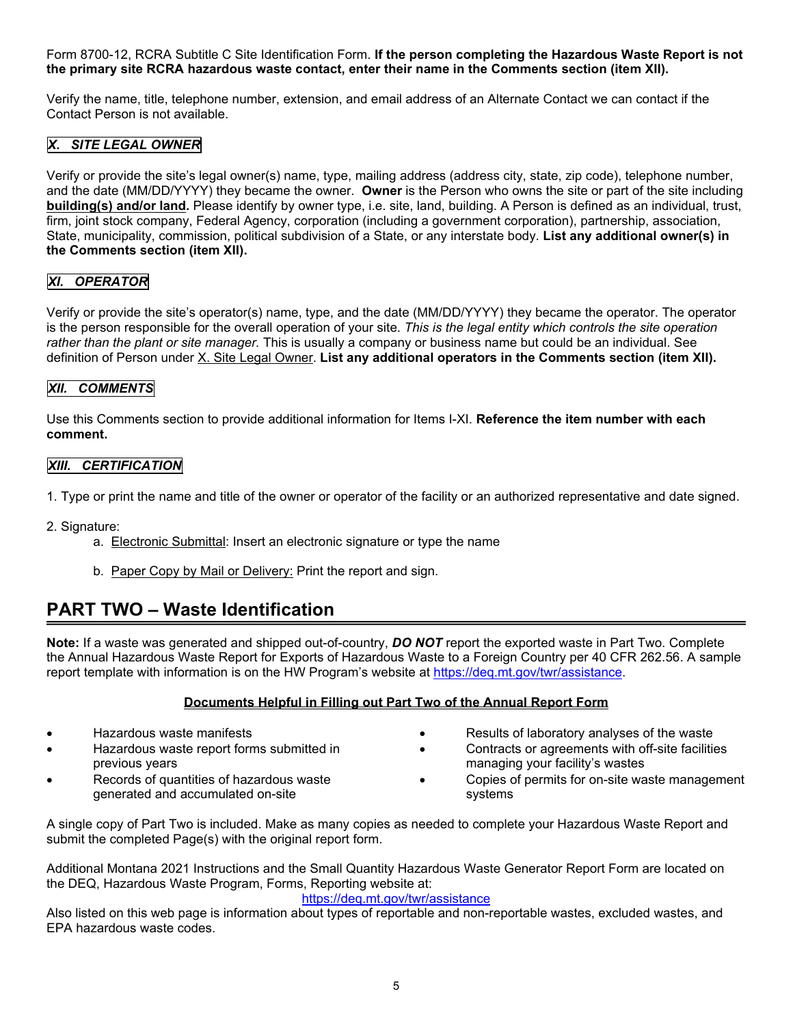Form 8700-12, RCRA Subtitle C Site Identification Form. **If the person completing the Hazardous Waste Report is not the primary site RCRA hazardous waste contact, enter their name in the Comments section (item XII).**

Verify the name, title, telephone number, extension, and email address of an Alternate Contact we can contact if the Contact Person is not available.

# *X. SITE LEGAL OWNER*

Verify or provide the site's legal owner(s) name, type, mailing address (address city, state, zip code), telephone number, and the date (MM/DD/YYYY) they became the owner. **Owner** is the Person who owns the site or part of the site including **building(s) and/or land***.* Please identify by owner type, i.e. site, land, building. A Person is defined as an individual, trust, firm, joint stock company, Federal Agency, corporation (including a government corporation), partnership, association, State, municipality, commission, political subdivision of a State, or any interstate body. **List any additional owner(s) in the Comments section (item XII).**

# *XI. OPERATOR*

Verify or provide the site's operator(s) name, type, and the date (MM/DD/YYYY) they became the operator. The operator is the person responsible for the overall operation of your site. *This is the legal entity which controls the site operation rather than the plant or site manager.* This is usually a company or business name but could be an individual. See definition of Person under X. Site Legal Owner. **List any additional operators in the Comments section (item XII).**

## *XII. COMMENTS*

Use this Comments section to provide additional information for Items I-XI. **Reference the item number with each comment.**

#### *XIII. CERTIFICATION*

- 1. Type or print the name and title of the owner or operator of the facility or an authorized representative and date signed.
- 2. Signature:
	- a. Electronic Submittal: Insert an electronic signature or type the name
	- b. Paper Copy by Mail or Delivery: Print the report and sign.

# **PART TWO – Waste Identification**

**Note:** If a waste was generated and shipped out-of-country, *DO NOT* report the exported waste in Part Two. Complete the Annual Hazardous Waste Report for Exports of Hazardous Waste to a Foreign Country per 40 CFR 262.56. A sample report template with information is on the HW Program's website at https://deq.mt.gov/twr/assistance.

## **Documents Helpful in Filling out Part Two of the Annual Report Form**

- Hazardous waste manifests
- Hazardous waste report forms submitted in previous years
- Records of quantities of hazardous waste generated and accumulated on-site
- Results of laboratory analyses of the waste
	- Contracts or agreements with off-site facilities managing your facility's wastes
- Copies of permits for on-site waste management systems

A single copy of Part Two is included. Make as many copies as needed to complete your Hazardous Waste Report and submit the completed Page(s) with the original report form.

Additional Montana 2021 Instructions and the Small Quantity Hazardous Waste Generator Report Form are located on the DEQ, Hazardous Waste Program, Forms, Reporting website at:

#### https://deq.mt.gov/twr/assistance

Also listed on this web page is information about types of reportable and non-reportable wastes, excluded wastes, and EPA hazardous waste codes.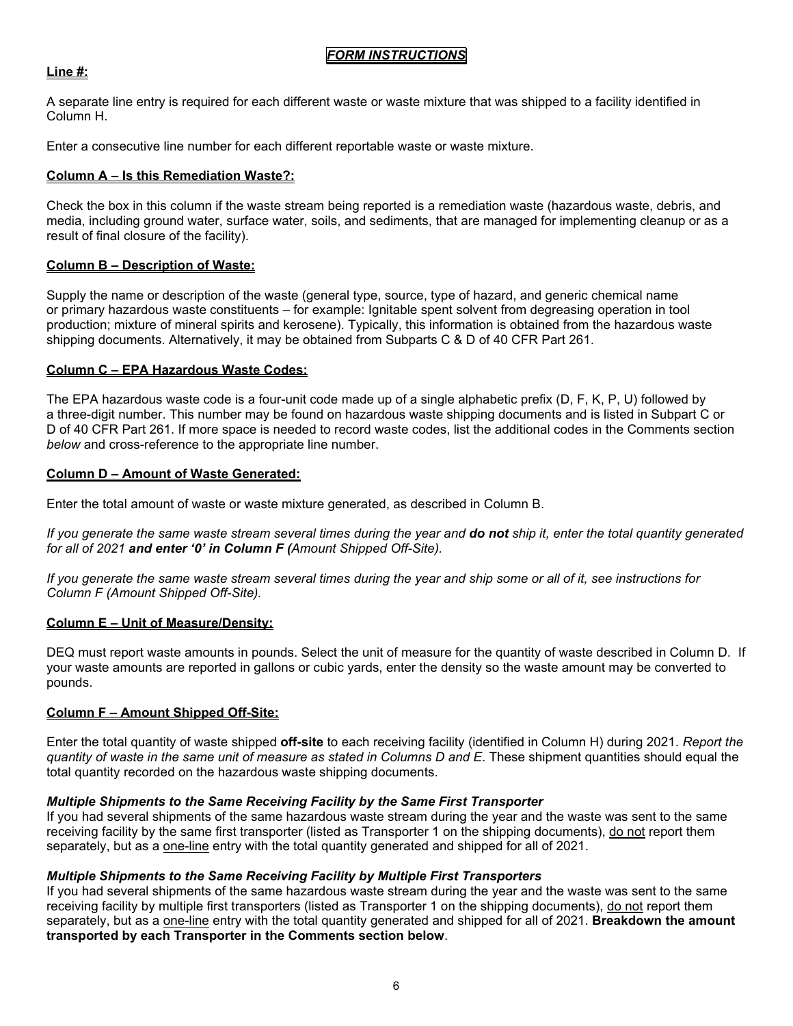# *FORM INSTRUCTIONS*

#### **Line #:**

A separate line entry is required for each different waste or waste mixture that was shipped to a facility identified in Column H.

Enter a consecutive line number for each different reportable waste or waste mixture.

#### **Column A – Is this Remediation Waste?:**

Check the box in this column if the waste stream being reported is a remediation waste (hazardous waste, debris, and media, including ground water, surface water, soils, and sediments, that are managed for implementing cleanup or as a result of final closure of the facility).

#### **Column B – Description of Waste:**

Supply the name or description of the waste (general type, source, type of hazard, and generic chemical name or primary hazardous waste constituents – for example: Ignitable spent solvent from degreasing operation in tool production; mixture of mineral spirits and kerosene). Typically, this information is obtained from the hazardous waste shipping documents. Alternatively, it may be obtained from Subparts C & D of 40 CFR Part 261.

#### **Column C – EPA Hazardous Waste Codes:**

The EPA hazardous waste code is a four-unit code made up of a single alphabetic prefix (D, F, K, P, U) followed by a three-digit number. This number may be found on hazardous waste shipping documents and is listed in Subpart C or D of 40 CFR Part 261. If more space is needed to record waste codes, list the additional codes in the Comments section *below* and cross-reference to the appropriate line number.

#### **Column D – Amount of Waste Generated:**

Enter the total amount of waste or waste mixture generated, as described in Column B.

*If you generate the same waste stream several times during the year and do not ship it, enter the total quantity generated for all of 2021 and enter '0' in Column F (Amount Shipped Off-Site).* 

*If you generate the same waste stream several times during the year and ship some or all of it, see instructions for Column F (Amount Shipped Off-Site).* 

## **Column E – Unit of Measure/Density:**

DEQ must report waste amounts in pounds. Select the unit of measure for the quantity of waste described in Column D. If your waste amounts are reported in gallons or cubic yards, enter the density so the waste amount may be converted to pounds.

## **Column F – Amount Shipped Off-Site:**

Enter the total quantity of waste shipped **off-site** to each receiving facility (identified in Column H) during 2021. *Report the quantity of waste in the same unit of measure as stated in Columns D and E*. These shipment quantities should equal the total quantity recorded on the hazardous waste shipping documents.

#### *Multiple Shipments to the Same Receiving Facility by the Same First Transporter*

If you had several shipments of the same hazardous waste stream during the year and the waste was sent to the same receiving facility by the same first transporter (listed as Transporter 1 on the shipping documents), do not report them separately, but as a one-line entry with the total quantity generated and shipped for all of 2021.

#### *Multiple Shipments to the Same Receiving Facility by Multiple First Transporters*

If you had several shipments of the same hazardous waste stream during the year and the waste was sent to the same receiving facility by multiple first transporters (listed as Transporter 1 on the shipping documents), do not report them separately, but as a one-line entry with the total quantity generated and shipped for all of 2021. **Breakdown the amount transported by each Transporter in the Comments section below**.